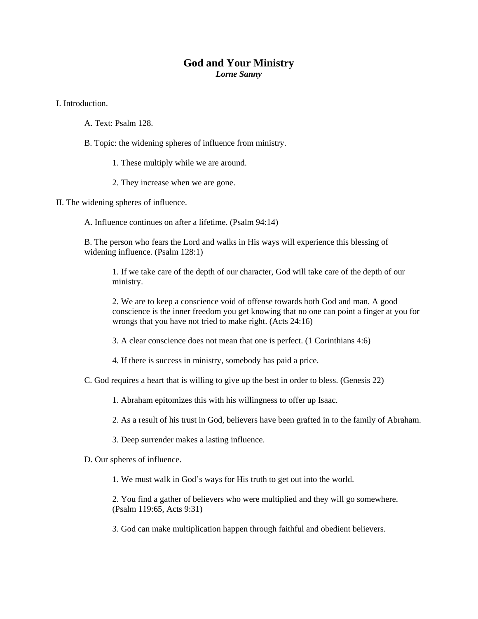## **God and Your Ministry**

*Lorne Sanny* 

I. Introduction.

- A. Text: Psalm 128.
- B. Topic: the widening spheres of influence from ministry.
	- 1. These multiply while we are around.
	- 2. They increase when we are gone.

II. The widening spheres of influence.

A. Influence continues on after a lifetime. (Psalm 94:14)

B. The person who fears the Lord and walks in His ways will experience this blessing of widening influence. (Psalm 128:1)

1. If we take care of the depth of our character, God will take care of the depth of our ministry.

2. We are to keep a conscience void of offense towards both God and man. A good conscience is the inner freedom you get knowing that no one can point a finger at you for wrongs that you have not tried to make right. (Acts 24:16)

3. A clear conscience does not mean that one is perfect. (1 Corinthians 4:6)

- 4. If there is success in ministry, somebody has paid a price.
- C. God requires a heart that is willing to give up the best in order to bless. (Genesis 22)
	- 1. Abraham epitomizes this with his willingness to offer up Isaac.

2. As a result of his trust in God, believers have been grafted in to the family of Abraham.

- 3. Deep surrender makes a lasting influence.
- D. Our spheres of influence.

1. We must walk in God's ways for His truth to get out into the world.

2. You find a gather of believers who were multiplied and they will go somewhere. (Psalm 119:65, Acts 9:31)

3. God can make multiplication happen through faithful and obedient believers.